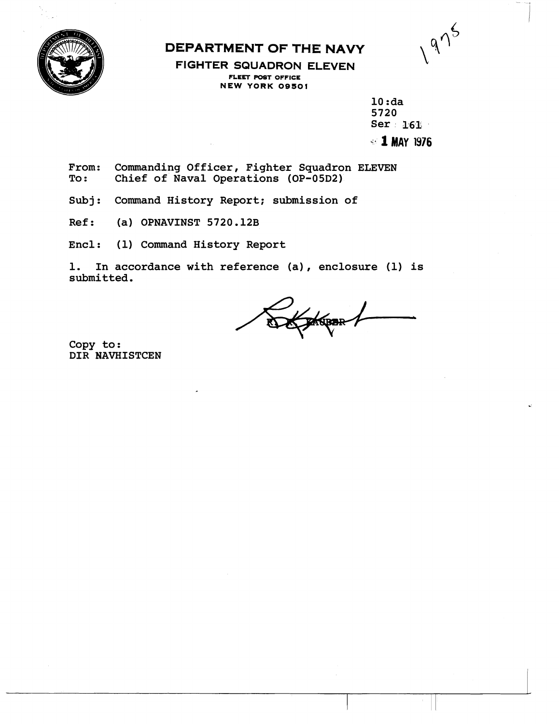

## **DEPARTMENT OF THE NAVY**

 $\sqrt{975}$ 

**FIGHTER SQUADRON ELEVEN FLEET POST OFFICE NEW YORK OQSOl** 

> **10 :da 5720 Ser 161. k- 1 MAY 1976**

From: Commanding Officer, Fighter Squadron ELEVEN<br>To: Chief of Naval Operations (OP-05D2) **To** : **Chief of Naval Operations (OP-05D2)** 

**Subj: Command History Report; submission of** 

**Ref: (a) OPNAVINST 5720.12B** 

**Encl: (1) Command History Report** 

**1. In accordance with reference (a)** , **enclosure (1) is submitted.** 

**PASBER** 

**Copy to: DIR HAVHISTCEN**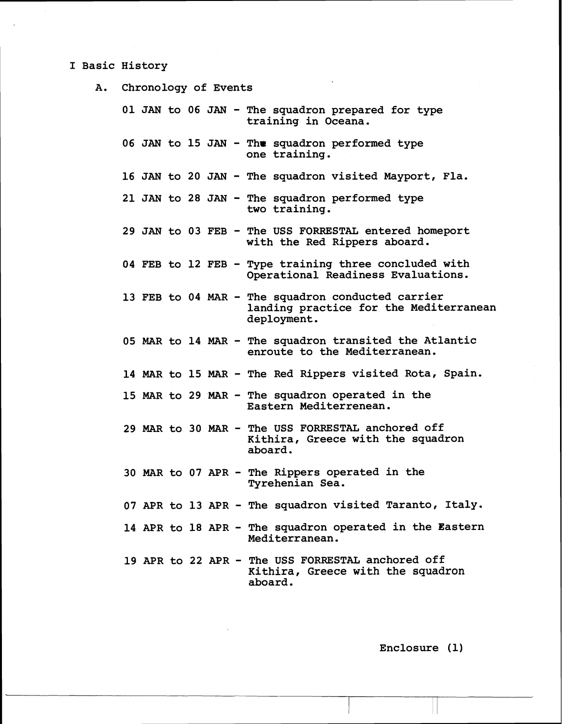## **I Basic History**

**A. Chronology of Events** 

**<sup>01</sup>JAN to 06 JAN** - **The squadron prepared for type training in Oceana. <sup>06</sup>JAN to 15 JAN** - **Thr squadron performed type one training. <sup>16</sup>JAN to 20 JAN** - **The squadron visited Mayport, Fla. <sup>21</sup>JAN to 28 JAN** - **The squadron performed type two training. <sup>29</sup>JAN to 03 FEB** - **The USS FORRESTAL entered homeport with the Red Rippers aboard. 04 FEB to 12 FEB** - **Type training three concluded with Operational Readiness Evaluations. 13 FEB to 04 MAR** - **The squadron conducted carrier landing practice for the Mediterranean deployment. 05 MAR to 14 MAR** - **The squadron transited the Atlantic enroute to the Mediterranean. 14 MAR to 15 MAR** - **The Red Rippers visited Rota, Spain. 15 MAR to 29 MAR** - **The squadron operated in the Eastern Mediterrenean. 29 MAR to 30 MAR** - **The USS FORRESTAL anchored off Kithira, Greece with the squadron aboard. 30 MAR to 07 APR** - **The Rippers operated in the Tyrehenian Sea. 07 APR to 13 APR** - **The squadron visited Taranto, Italy.**  14 APR to 18 APR - The squadron operated in the Eastern **Mediterranean. 19 APR to 22 APR** - **The USS FORRESTAL anchored off Kithira, Greece with the squadron aboard.** 

**Enclosure (1)** 

i I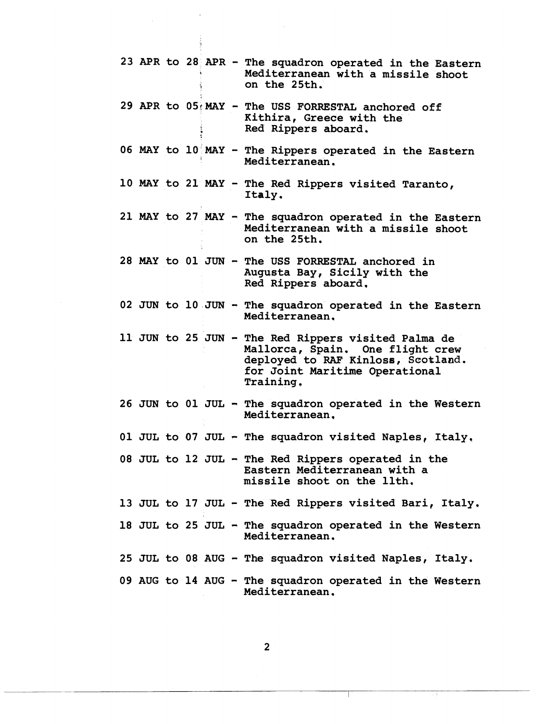|  |  |  | 23 APR to 28 APR - The squadron operated in the Eastern<br>Mediterranean with a missile shoot<br>on the 25th.                                                                |
|--|--|--|------------------------------------------------------------------------------------------------------------------------------------------------------------------------------|
|  |  |  | 29 APR to 05 MAY - The USS FORRESTAL anchored off<br>Kithira, Greece with the<br>Red Rippers aboard.                                                                         |
|  |  |  | 06 MAY to 10 MAY - The Rippers operated in the Eastern<br>Mediterranean.                                                                                                     |
|  |  |  | 10 MAY to 21 MAY - The Red Rippers visited Taranto,<br>Italy.                                                                                                                |
|  |  |  | 21 MAY to 27 MAY - The squadron operated in the Eastern<br>Mediterranean with a missile shoot<br>on the 25th.                                                                |
|  |  |  | 28 MAY to 01 JUN - The USS FORRESTAL anchored in<br>Augusta Bay, Sicily with the<br>Red Rippers aboard.                                                                      |
|  |  |  | 02 JUN to 10 JUN - The squadron operated in the Eastern<br>Mediterranean.                                                                                                    |
|  |  |  | 11 JUN to 25 JUN - The Red Rippers visited Palma de<br>Mallorca, Spain. One flight crew<br>deployed to RAF Kinloss, Scotland.<br>for Joint Maritime Operational<br>Training. |
|  |  |  | 26 JUN to 01 JUL - The squadron operated in the Western<br>Mediterranean.                                                                                                    |
|  |  |  | 01 JUL to 07 JUL - The squadron visited Naples, Italy.                                                                                                                       |
|  |  |  |                                                                                                                                                                              |
|  |  |  | 08 JUL to 12 JUL - The Red Rippers operated in the<br>Eastern Mediterranean with a<br>missile shoot on the llth.                                                             |
|  |  |  | 13 JUL to 17 JUL - The Red Rippers visited Bari, Italy.                                                                                                                      |
|  |  |  | 18 JUL to 25 JUL - The squadron operated in the Western<br>Mediterranean.                                                                                                    |
|  |  |  | 25 JUL to 08 AUG - The squadron visited Naples, Italy.                                                                                                                       |

 $\overline{\mathbf{c}}$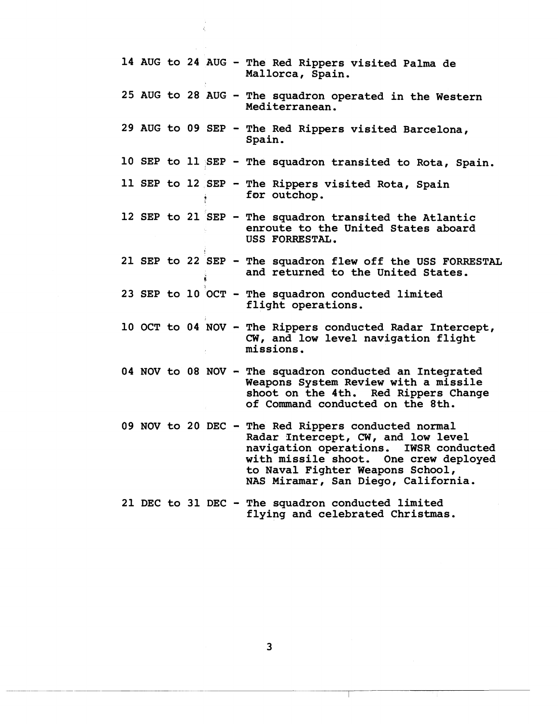|  |  |  | 14 AUG to 24 AUG - The Red Rippers visited Palma de<br>Mallorca, Spain.                                                                                                                                                                                |
|--|--|--|--------------------------------------------------------------------------------------------------------------------------------------------------------------------------------------------------------------------------------------------------------|
|  |  |  | 25 AUG to 28 AUG - The squadron operated in the Western<br>Mediterranean.                                                                                                                                                                              |
|  |  |  | 29 AUG to 09 SEP - The Red Rippers visited Barcelona,<br>Spain.                                                                                                                                                                                        |
|  |  |  | 10 SEP to 11 SEP - The squadron transited to Rota, Spain.                                                                                                                                                                                              |
|  |  |  | 11 SEP to 12 SEP - The Rippers visited Rota, Spain<br>for outchop.                                                                                                                                                                                     |
|  |  |  | 12 SEP to 21 SEP - The squadron transited the Atlantic<br>enroute to the United States aboard<br>USS FORRESTAL.                                                                                                                                        |
|  |  |  | 21 SEP to 22 SEP - The squadron flew off the USS FORRESTAL<br>and returned to the United States.                                                                                                                                                       |
|  |  |  | 23 SEP to 10 OCT - The squadron conducted limited<br>flight operations.                                                                                                                                                                                |
|  |  |  | 10 OCT to 04 NOV - The Rippers conducted Radar Intercept,<br>CW, and low level navigation flight<br>missions.                                                                                                                                          |
|  |  |  | 04 NOV to 08 NOV - The squadron conducted an Integrated<br>Weapons System Review with a missile<br>shoot on the 4th. Red Rippers Change<br>of Command conducted on the 8th.                                                                            |
|  |  |  | 09 NOV to 20 DEC - The Red Rippers conducted normal<br>Radar Intercept, CW, and low level<br>navigation operations. IWSR conducted<br>with missile shoot. One crew deployed<br>to Naval Fighter Weapons School,<br>NAS Miramar, San Diego, California. |
|  |  |  | 21 DEC to 31 DEC - The squadron conducted limited<br>flying and celebrated Christmas.                                                                                                                                                                  |

ĵ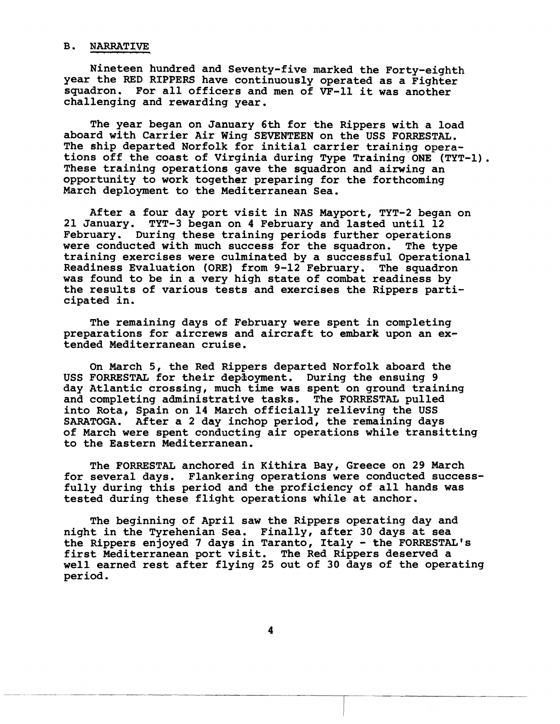## **B. NARRATIVE**

**Nineteen hundred and Seventy-five marked the Forty-eighth year the RED RIPPERS have continuously operated as a Fighter squadron. For all officers and men of VF-11 it was another challenging and rewarding year.** 

**The year began on Jannary 6th for the Rippers with a load aboard with Carrier Air Wing SEVENTEEN on the USS FORRESTAL. The ship departed Norfolk for initial carrier training operations off the coast of Virginia during Type Training ONE (TYT-1).**  These training operations gave the squadron and airwing an **opportunity to work together preparing for the forthcoming March deployment to the Mediterranean Sea.** 

**After a four day port visit in MAS Mayport, TYT-2 began on 21 January. TYT-3 began on 4 February and lasted until 12 February. During these training periods further operations were conducted with much success for the squadron. The type training exercises were culminated by a successful Operational Readiness Evaluation (ORE) from 9-12 February. The squadron was found to be in a very high state of combat readiness by the results of various tests and exercises the Rippers participated in.** 

**The remaining days of February were spent in completing preparations for aircrews and aircraft to embark upon an extended Mediterranean cruise.** 

**On March 5, the Red Rippers departed Norfolk aboard the USS FORRESTAL for their depihoyment. During the ensuing 9 day Atlantic crossing, much time was spent on ground training and completing administrative tasks. The FORRESTAL pulled into Rota, Spain on 14 March officially relieving the USS SARATOGA. After a 2 day inchop period, the remaining days of March were spent conducting air operations while transitting to the Eastern Mediterranean.** 

**The FORRESTAL anchored in Kithira Bay, Greece on 29 March for several days. Flankering operations were conducted successfully during this period and the proficiency of all hands was tested during these flight operations while at anchor.** 

**The beginning of April saw the Rippers operating day and night in the Tyrehenian Sea. Finally, after 30 days at sea**  the Rippers enjoyed 7 days in Taranto, Italy - the FORRESTAL's **first Mediterranean port visit. The Red Rippers deserved a well earned rest after flying 25 out of 30 days of the operating period.**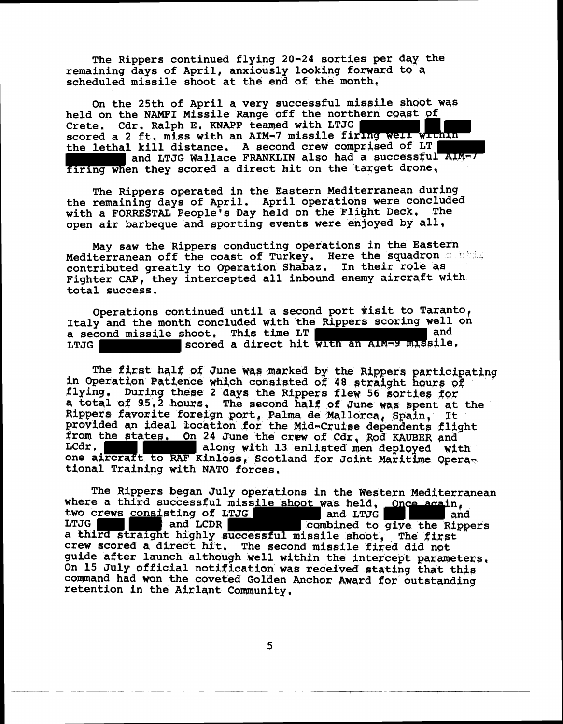**The Rippers continued flying 20-24 sorties per day the remaining days of April, anxiously looking forward to a scheduled missile shoot at the end of the month,** 

On the 25th of April a very successful missile shoot was held on the NAMFI Missile Range off the northern coast of Crete, Cdr. Ralph E. KNAPP teamed with LTJG scored a 2 ft. miss with an AIM-7 missile firing well within **the lethal kill distance, A second crew comprised 95 LT**  and LTJG Wallace FRANKLIN also had a successful ALM-7 firing when they scored a direct hit on the target drone,

The Rippers operated in the Eastern Mediterranean during **the remaining days of April. April operations were concluded with a FORRESTAL People's Day held on the Flight Deck, The open afr barbeque and sporting events were enjoyed by all,** 

**May saw the Rippers conducting operations in the Eastern Mediterranean off the coast of Turkey. Here the squadron contains** contributed greatly to Operation Shabaz. In their role as **Fighter CAP, they intercepted all inbound enemy aircraft with total success.** 

Operations continued until a second port visit to Taranto, **Italy and the month concluded with the Rippers scoring well on a second missile shoot, This time LT**<br>LTJG **and Scored a direct hit will L** scored a direct hit with an AIM-9 missile,

**The first half of June was marked by the Rippers participating in Operation Patience which consisted of 48 straight hours of** flying, During these 2 days the Rippers flew 56 sorties for **e totql of 95,2 Mure, The second I& Iff 04 June W~S &pent at the**  Rippers favorite foreign port, Palma de Mallorca, Spain, It provided an ideal location for the Mid-Cruise dependents flight from the states, On 24 June the crew of Cdr, Rod KAUBER and LCdr, along with 13 enlisted men deployed with one aircraft to RAF **Kinloss**, Scotland for Joint Maritime Opera**tional Training with NATO forces,** 

**The Rippers began July operations in the Western Mediterranean**  where a third successful missile shoot was held, Once again, two crews consisting of LTJG and LTJG and LTJG two crews consisting of LTJG<br>LTJG **and LCDR** and LCDR **combined** to give the Rippers **a tihird straight highly successful missile shoot, The fixgt crew scared a direct hit, The Second missile fired did not**  guide after launch although well within the intercept parameters, **On 15 iruly official notification ma received stating tht thie**  command had won the coveted Golden Anchor Award for outstanding **retention in the Airlqnt Community,**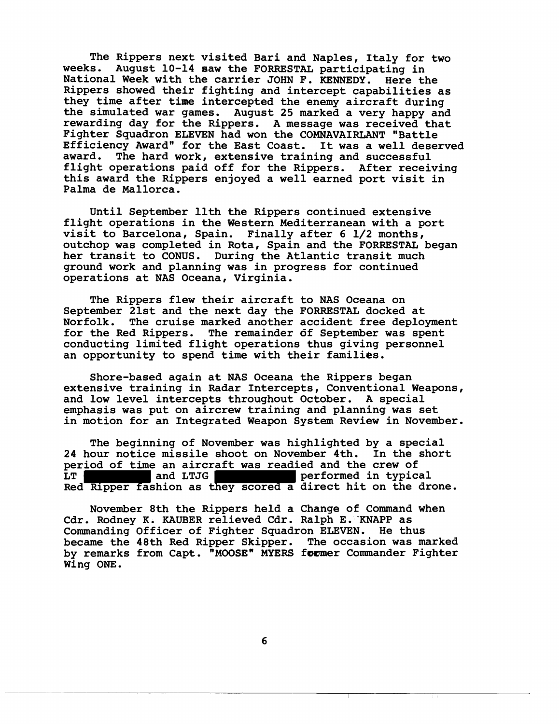**The Rippers next visited Bari and Naples, Italy for two weeks. August 10-14 aaw the FORRESTAL participating in National Week with the carrier JOHN F. KENNEDY. Here the Rippers showed their fighting and intercept capabilities as they time after time intercepted the enemy aircraft during the simulated war games. August 25 marked a very happy and rewarding day for the Rippers. A message was received that Fighter Squadron ELEVEN had won the COMNAVAIRLANT "Battle**  Efficiency Award" for the East Coast. It was a well deserved award. The hard work, extensive training and successful **award. The hard work, extensive training and successful flight operations paid off for the Rippers. After receiving this award the Rippers enjoyed a well earned port visit in Palma de Mallorca.** 

**Until September 11th the Rippers continued extensive flight operations in the Western Mediterranean with a port visit to Barcelona, Spain. Finally after 6 1/2 months, outchop was completed in Rota, Spain and the FORRESTAL began her transit to CONUS. During the Atlantic transit much ground work and planning was in progress for continued operations at NAS Oceana, Virginia.** 

**The Rippers flew their aircraft to NAS Oceana on September 21st and the next day the FORRESTAL docked at Norfolk. The cruise marked another accident free deployment for the Red Rippers. The remainder df September was spent conducting limited flight operations thus giving personnel an opportunity to spend time with their families.** 

**Shore-based again at NAS Oceana the Rippers began extensive training in Radar Intercepts, Conventional Weapons, and low level intercepts throughout October. A special emphasis was put on aircrew training and planning was set in motion for an Integrated Weapon System Review in November.** 

**The beginning of November was highlighted by a special 24 hour notice missile shoot on November 4th. In the short period of time an aircraft was readied and the crew of L** performed in typical **Red Ripper fashion as they scored a direct hit on the drone.** 

**November 8th the Rippers held a Change of Command when Cdr. Rodney K. KAUBER relieved Cdr. Ralph E.'KNAPP as Commanding Officer of Fighter Squadron ELEVEN. He thus became the 48th Red Ripper Skipper. The occasion was marked**  by remarks from Capt. "MOOSE" MYERS former Commander Fighter **Wing ONE.**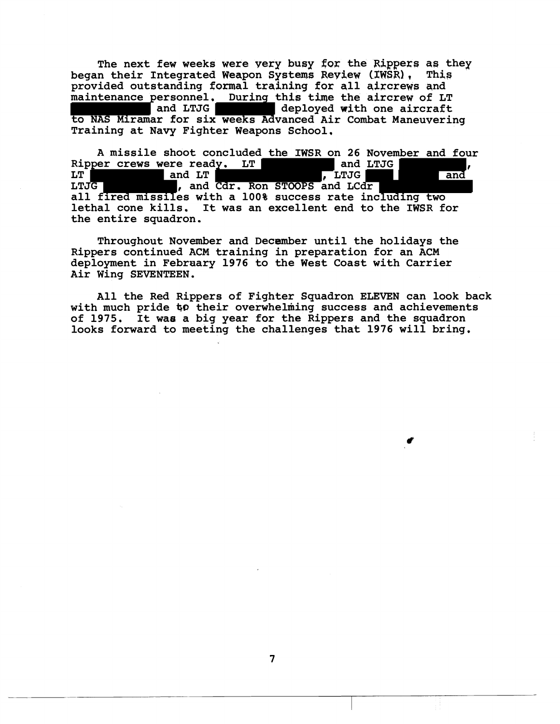The next few weeks were yery busy for the Rippers as they<br>n their Integrated Weapon Systems Review (IWSR), This **began their Integrated Weapon Systems Review (IWSR), provided outstanding formal training for a11 aixcrews and maintenance personnel.** During this time the aircrew of LT and LTJG deployed with one aircraft deployed with one aircraft **to NAS Miramar for six weeks Advanced Air Combat Maneuvering Training at Navy Fighter Weapons School.** 

**A missile shoot concluded the IWSR on 26 November and four**  Ripper crews were ready. LT and LTJG and LTJG and LT<br>LT and LT and LT and Cdr. Ron STOOPS and LCdr and **LTJG LTJG , and Cdr. Ron STOOPS and LCdr all fired missiles with a 100% success rate including two lethal cone kills. It was an excellent end to the IWSR for the entire squadron.** 

**Throughout November and December until the holidays the Rippers continued ACM training in preparation for an ACM deployment in Febraary 1976 to the West Coast with Carrier Air Wing SEVENTEEN.** 

**All the Red Rippers of Fighter Squadron ELEVEN can look back with much pride 40 their overwhelming success and achievements of 1975. It was a big year for the Rippers and the squadron looks forward to meeting the challenges that 1976 will bring.**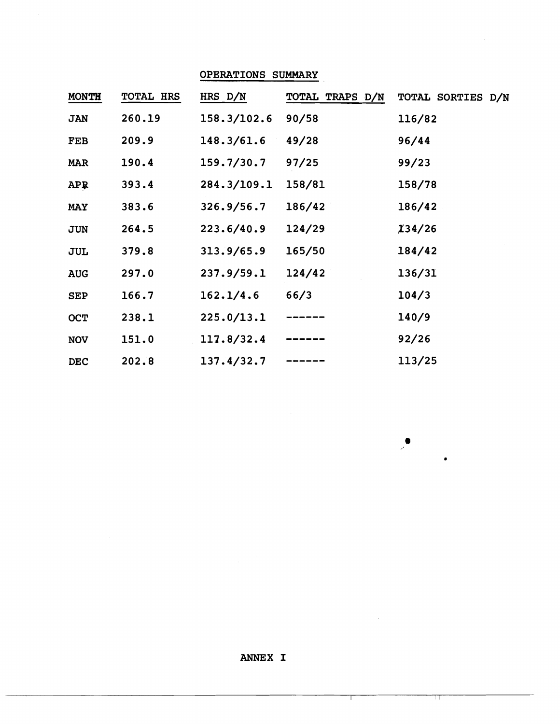OPERATIONS SUMMARY

| <b>MONTH</b> | <b>TOTAL HRS</b> | HRS D/N     | TOTAL TRAPS D/N | TOTAL SORTIES D/N |
|--------------|------------------|-------------|-----------------|-------------------|
| <b>JAN</b>   | 260.19           | 158.3/102.6 | 90/58           | 116/82            |
| FEB          | 209.9            | 148.3/61.6  | 49/28           | 96/44             |
| <b>MAR</b>   | 190.4            | 159.7/30.7  | 97/25           | 99/23             |
| <b>APR</b>   | 393.4            | 284.3/109.1 | 158/81          | 158/78            |
| <b>MAY</b>   | 383.6            | 326.9/56.7  | 186/42          | 186/42            |
| JUN          | 264.5            | 223.6/40.9  | 124/29          | 134/26            |
| JUL          | 379.8            | 313.9/65.9  | 165/50          | 184/42            |
| <b>AUG</b>   | 297.0            | 237.9/59.1  | 124/42          | 136/31            |
| <b>SEP</b>   | 166.7            | 162.1/4.6   | 66/3            | 104/3             |
| <b>OCT</b>   | 238.1            | 225.0/13.1  | ------          | 140/9             |
| <b>NOV</b>   | 151.0            | 117.8/32.4  |                 | 92/26             |
| <b>DEC</b>   | 202.8            | 137.4/32.7  |                 | 113/25            |

 $\mathcal{F}^{\mathcal{C}}$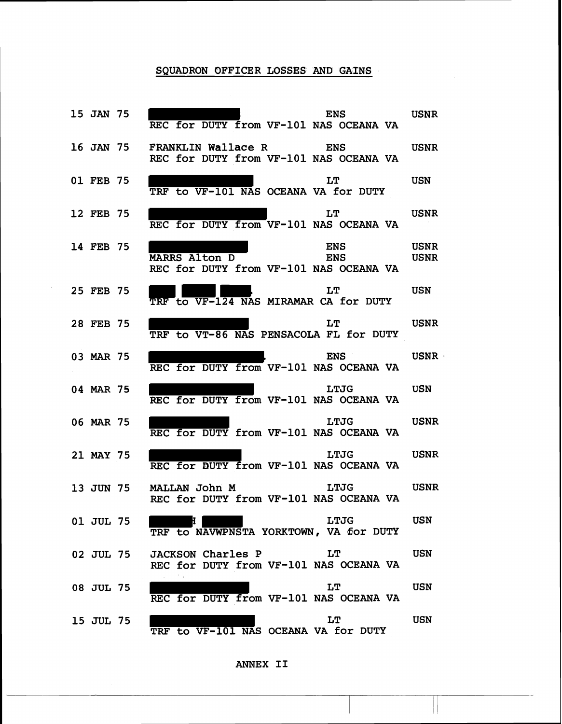## SQUADRON OFFICER LOSSES **AND** GAINS

| 15 JAN 75 | ENS USNR<br>REC for DUTY from VF-101 NAS OCEANA VA                                                                                                                  |             |
|-----------|---------------------------------------------------------------------------------------------------------------------------------------------------------------------|-------------|
|           | 16 JAN 75 FRANKLIN Wallace R ENS USNR<br>REC for DUTY from VF-101 NAS OCEANA VA                                                                                     |             |
| 01 FEB 75 | LT<br>TRF to VF-101 NAS OCEANA VA for DUTY                                                                                                                          | <b>USN</b>  |
| 12 FEB 75 | LT USNR<br>REC for DUTY from VF-101 NAS OCEANA VA                                                                                                                   |             |
| 14 FEB 75 | <b>ENS</b><br>MARRS Alton D ENS USNR<br>REC for DUTY from VF-101 NAS OCEANA VA                                                                                      | <b>USNR</b> |
| 25 FEB 75 | <b>Example 19 Street Street Street Street Street Street Street Street Street Street Street Street Street Street</b><br>LT.<br>TRF to VF-124 NAS MIRAMAR CA for DUTY |             |
| 28 FEB 75 | <b>Example 19 STAR</b><br>LT<br>TRF to VT-86 NAS PENSACOLA FL for DUTY                                                                                              |             |
| 03 MAR 75 | ENS USNR<br>REC for DUTY from VF-101 NAS OCEANA VA                                                                                                                  |             |
| 04 MAR 75 | LTJG USN<br>REC for DUTY from VF-101 NAS OCEANA VA                                                                                                                  |             |
| 06 MAR 75 | LTJG USNR<br>REC for DUTY from VF-101 NAS OCEANA VA                                                                                                                 |             |
| 21 MAY 75 | LTJG USNR<br>REC for DUTY from VF-101 NAS OCEANA VA                                                                                                                 |             |
|           | 13 JUN 75 MALLAN John M LTJG USNR<br>REC for DUTY from VF-101 NAS OCEANA VA                                                                                         |             |
| 01 JUL 75 | <b>LTJG</b><br>Ħ.<br>TRF to NAVWPNSTA YORKTOWN, VA for DUTY                                                                                                         | <b>USN</b>  |
| 02 JUL 75 | LT<br><b>JACKSON Charles P</b><br>REC for DUTY from VF-101 NAS OCEANA VA                                                                                            | USN         |
| 08 JUL 75 | LT<br>REC for DUTY from VF-101 NAS OCEANA VA                                                                                                                        | USN         |
| 15 JUL 75 | LT<br>TRF to VF-101 NAS OCEANA VA for DUTY                                                                                                                          | USN         |

 $\mathbf{r}$ 

**ANNEX I1**